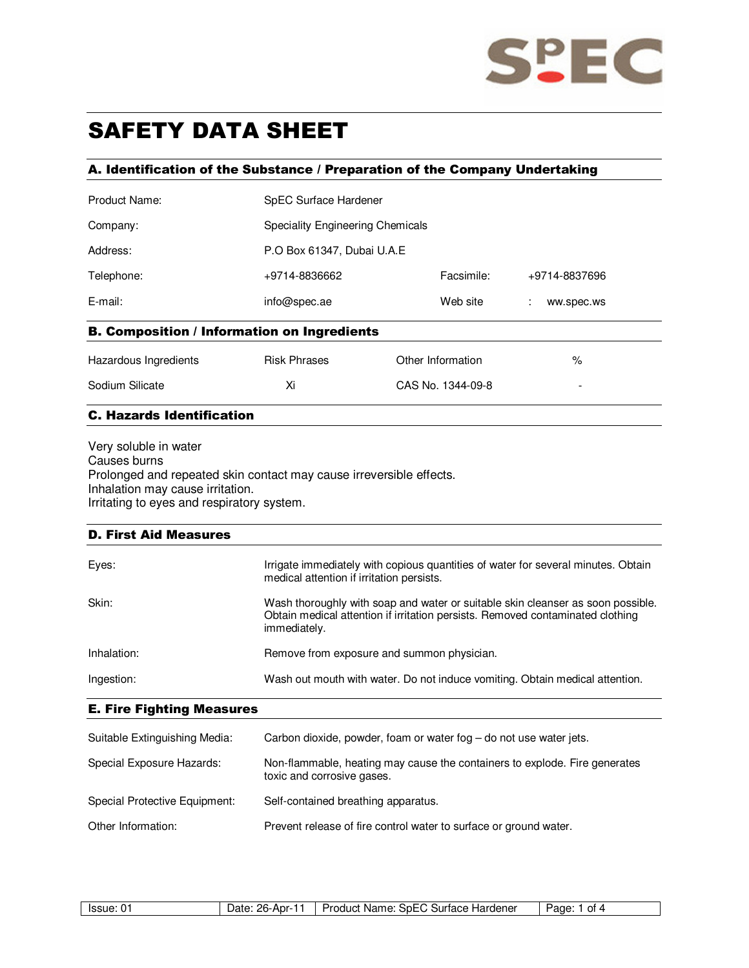

# SAFETY DATA SHEET

### A. Identification of the Substance / Preparation of the Company Undertaking

| Product Name:                                      | SpEC Surface Hardener            |                   |                 |
|----------------------------------------------------|----------------------------------|-------------------|-----------------|
| Company:                                           | Speciality Engineering Chemicals |                   |                 |
| Address:                                           | P.O Box 61347, Dubai U.A.E       |                   |                 |
| Telephone:                                         | +9714-8836662                    | Facsimile:        | +9714-8837696   |
| E-mail:                                            | info@spec.ae                     | Web site          | ÷<br>ww.spec.ws |
| <b>B. Composition / Information on Ingredients</b> |                                  |                   |                 |
| Hazardous Ingredients                              | <b>Risk Phrases</b>              | Other Information | ℅               |
| Sodium Silicate                                    | Xi                               | CAS No. 1344-09-8 | -               |

#### C. Hazards Identification

Very soluble in water Causes burns Prolonged and repeated skin contact may cause irreversible effects. Inhalation may cause irritation. Irritating to eyes and respiratory system.

#### D. First Aid Measures

| Eyes:       | Irrigate immediately with copious quantities of water for several minutes. Obtain<br>medical attention if irritation persists.                                                    |
|-------------|-----------------------------------------------------------------------------------------------------------------------------------------------------------------------------------|
| Skin:       | Wash thoroughly with soap and water or suitable skin cleanser as soon possible.<br>Obtain medical attention if irritation persists. Removed contaminated clothing<br>immediately. |
| Inhalation: | Remove from exposure and summon physician.                                                                                                                                        |
| Ingestion:  | Wash out mouth with water. Do not induce vomiting. Obtain medical attention.                                                                                                      |

## E. Fire Fighting Measures

| Suitable Extinguishing Media: | Carbon dioxide, powder, foam or water fog $-$ do not use water jets.                                     |
|-------------------------------|----------------------------------------------------------------------------------------------------------|
| Special Exposure Hazards:     | Non-flammable, heating may cause the containers to explode. Fire generates<br>toxic and corrosive gases. |
| Special Protective Equipment: | Self-contained breathing apparatus.                                                                      |
| Other Information:            | Prevent release of fire control water to surface or ground water.                                        |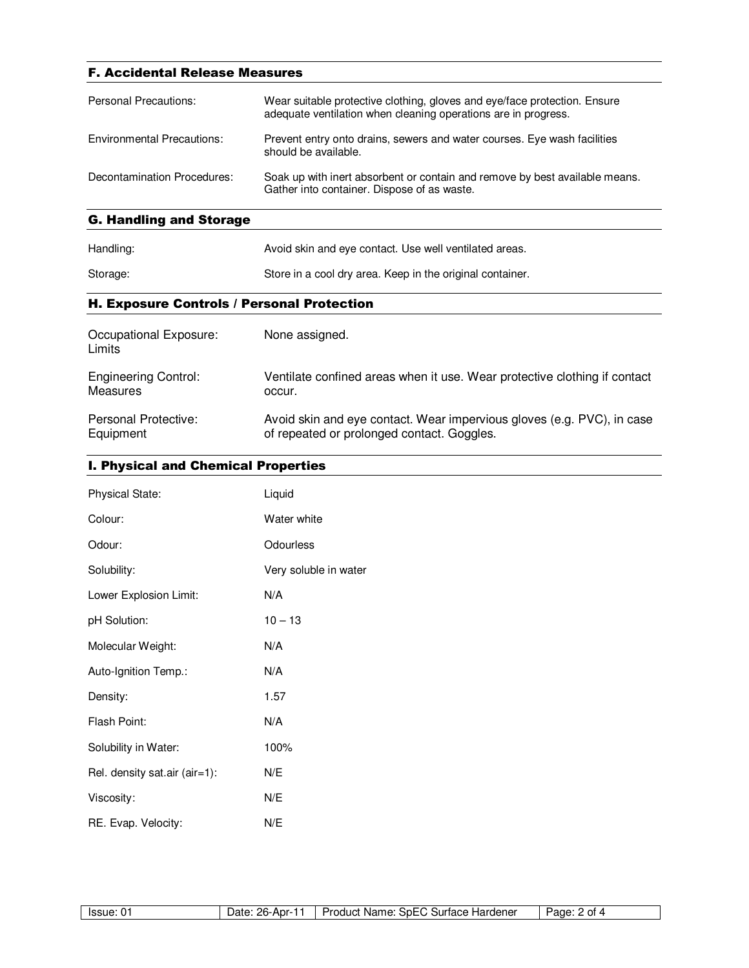| <b>F. Accidental Release Measures</b> |                                                                                                                                             |  |
|---------------------------------------|---------------------------------------------------------------------------------------------------------------------------------------------|--|
| Personal Precautions:                 | Wear suitable protective clothing, gloves and eye/face protection. Ensure<br>adequate ventilation when cleaning operations are in progress. |  |
| Environmental Precautions:            | Prevent entry onto drains, sewers and water courses. Eye wash facilities<br>should be available.                                            |  |
| Decontamination Procedures:           | Soak up with inert absorbent or contain and remove by best available means.<br>Gather into container. Dispose of as waste.                  |  |
| <b>G. Handling and Storage</b>        |                                                                                                                                             |  |

| Handling: | Avoid skin and eye contact. Use well ventilated areas.    |
|-----------|-----------------------------------------------------------|
| Storage:  | Store in a cool dry area. Keep in the original container. |

# H. Exposure Controls / Personal Protection

| Occupational Exposure:<br>Limits | None assigned.                                                            |
|----------------------------------|---------------------------------------------------------------------------|
| <b>Engineering Control:</b>      | Ventilate confined areas when it use. Wear protective clothing if contact |
| Measures                         | occur.                                                                    |
| Personal Protective:             | Avoid skin and eye contact. Wear impervious gloves (e.g. PVC), in case    |
| Equipment                        | of repeated or prolonged contact. Goggles.                                |

# I. Physical and Chemical Properties

| <b>Physical State:</b>        | Liquid                |
|-------------------------------|-----------------------|
| Colour:                       | Water white           |
| Odour:                        | Odourless             |
| Solubility:                   | Very soluble in water |
| Lower Explosion Limit:        | N/A                   |
| pH Solution:                  | $10 - 13$             |
| Molecular Weight:             | N/A                   |
| Auto-Ignition Temp.:          | N/A                   |
| Density:                      | 1.57                  |
| Flash Point:                  | N/A                   |
| Solubility in Water:          | 100%                  |
| Rel. density sat.air (air=1): | N/E                   |
| Viscosity:                    | N/E                   |
| RE. Evap. Velocity:           | N/E                   |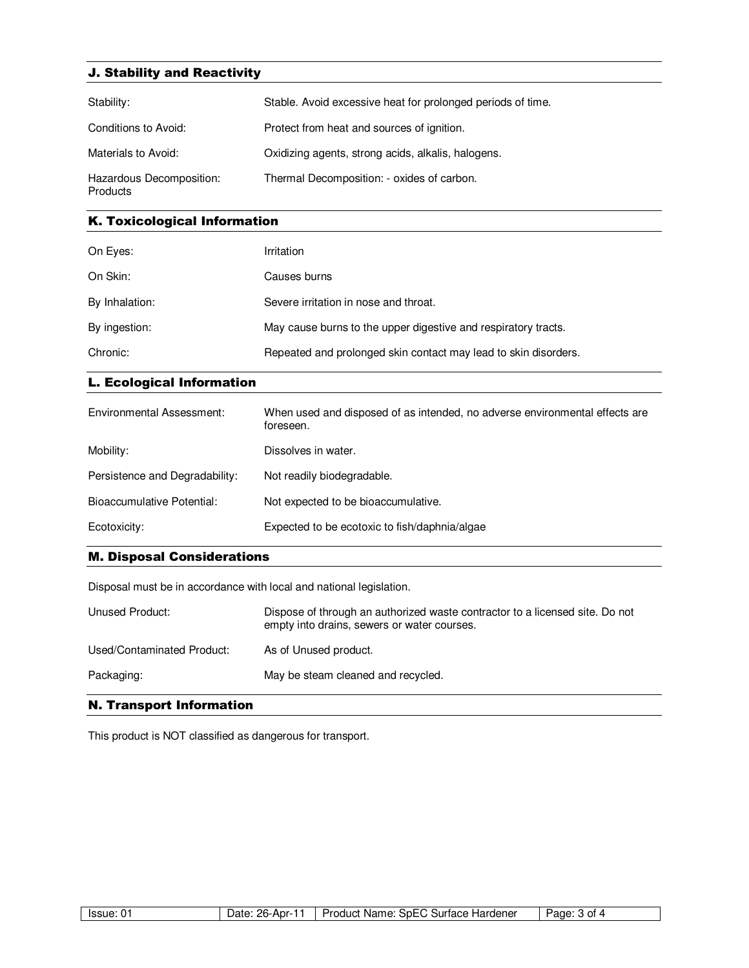# J. Stability and Reactivity

| Stability:                           | Stable. Avoid excessive heat for prolonged periods of time. |
|--------------------------------------|-------------------------------------------------------------|
| Conditions to Avoid:                 | Protect from heat and sources of ignition.                  |
| Materials to Avoid:                  | Oxidizing agents, strong acids, alkalis, halogens.          |
| Hazardous Decomposition:<br>Products | Thermal Decomposition: - oxides of carbon.                  |

### K. Toxicological Information

| On Eyes:       | Irritation                                                      |
|----------------|-----------------------------------------------------------------|
| On Skin:       | Causes burns                                                    |
| By Inhalation: | Severe irritation in nose and throat.                           |
| By ingestion:  | May cause burns to the upper digestive and respiratory tracts.  |
| Chronic:       | Repeated and prolonged skin contact may lead to skin disorders. |

## L. Ecological Information

| Environmental Assessment:      | When used and disposed of as intended, no adverse environmental effects are<br>foreseen. |
|--------------------------------|------------------------------------------------------------------------------------------|
| Mobility:                      | Dissolves in water.                                                                      |
| Persistence and Degradability: | Not readily biodegradable.                                                               |
| Bioaccumulative Potential:     | Not expected to be bioaccumulative.                                                      |
| Ecotoxicity:                   | Expected to be ecotoxic to fish/daphnia/algae                                            |

### M. Disposal Considerations

Disposal must be in accordance with local and national legislation.

| Unused Product:            | Dispose of through an authorized waste contractor to a licensed site. Do not<br>empty into drains, sewers or water courses. |
|----------------------------|-----------------------------------------------------------------------------------------------------------------------------|
| Used/Contaminated Product: | As of Unused product.                                                                                                       |
| Packaging:                 | May be steam cleaned and recycled.                                                                                          |

# N. Transport Information

This product is NOT classified as dangerous for transport.